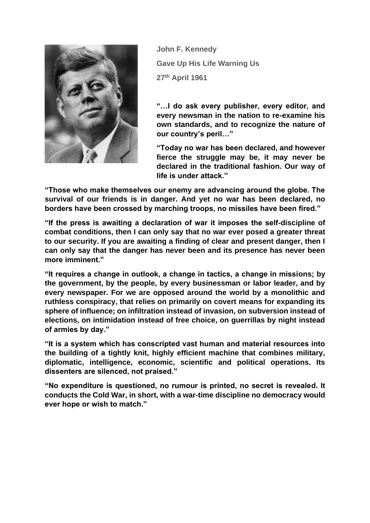

 **John F. Kennedy Gave Up His Life Warning Us 27 th April 1961**

**"…I do ask every publisher, every editor, and every newsman in the nation to re-examine his own standards, and to recognize the nature of our country's peril…"**

**"Today no war has been declared, and however fierce the struggle may be, it may never be declared in the traditional fashion. Our way of life is under attack."**

**"Those who make themselves our enemy are advancing around the globe. The survival of our friends is in danger. And yet no war has been declared, no borders have been crossed by marching troops, no missiles have been fired."**

**"If the press is awaiting a declaration of war it imposes the self-discipline of combat conditions, then I can only say that no war ever posed a greater threat to our security. If you are awaiting a finding of clear and present danger, then I can only say that the danger has never been and its presence has never been more imminent."**

**"It requires a change in outlook, a change in tactics, a change in missions; by the government, by the people, by every businessman or labor leader, and by every newspaper. For we are opposed around the world by a monolithic and ruthless conspiracy, that relies on primarily on covert means for expanding its sphere of influence; on infiltration instead of invasion, on subversion instead of elections, on intimidation instead of free choice, on guerrillas by night instead of armies by day."**

**"It is a system which has conscripted vast human and material resources into the building of a tightly knit, highly efficient machine that combines military, diplomatic, intelligence, economic, scientific and political operations. Its dissenters are silenced, not praised."**

**"No expenditure is questioned, no rumour is printed, no secret is revealed. It conducts the Cold War, in short, with a war-time discipline no democracy would ever hope or wish to match."**